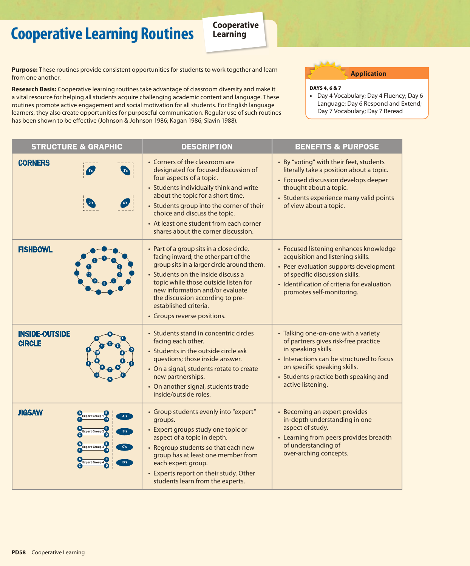## **Cooperative Cooperative Learning Routines Learning**

**Purpose:** These routines provide consistent opportunities for students to work together and learn from one another.

**Research Basis:** Cooperative learning routines take advantage of classroom diversity and make it a vital resource for helping all students acquire challenging academic content and language. These routines promote active engagement and social motivation for all students. For English language learners, they also create opportunities for purposeful communication. Regular use of such routines has been shown to be effective (Johnson & Johnson 1986; Kagan 1986; Slavin 1988).

**Application**

## Days 4, 6 & 7

•Day 4 Vocabulary; Day 4 Fluency; Day 6 Language; Day 6 Respond and Extend; Day 7 Vocabulary; Day 7 Reread

| <b>STRUCTURE &amp; GRAPHIC</b>                                                         | <b>DESCRIPTION</b>                                                                                                                                                                                                                                                                                                                                 | <b>BENEFITS &amp; PURPOSE</b>                                                                                                                                                                                                                 |
|----------------------------------------------------------------------------------------|----------------------------------------------------------------------------------------------------------------------------------------------------------------------------------------------------------------------------------------------------------------------------------------------------------------------------------------------------|-----------------------------------------------------------------------------------------------------------------------------------------------------------------------------------------------------------------------------------------------|
| <b>CORNERS</b>                                                                         | • Corners of the classroom are<br>designated for focused discussion of<br>four aspects of a topic.<br>• Students individually think and write<br>about the topic for a short time.<br>• Students group into the corner of their<br>choice and discuss the topic.<br>• At least one student from each corner<br>shares about the corner discussion. | • By "voting" with their feet, students<br>literally take a position about a topic.<br>• Focused discussion develops deeper<br>thought about a topic.<br>• Students experience many valid points<br>of view about a topic.                    |
| <b>FISHBOWL</b>                                                                        | • Part of a group sits in a close circle,<br>facing inward; the other part of the<br>group sits in a larger circle around them.<br>• Students on the inside discuss a<br>topic while those outside listen for<br>new information and/or evaluate<br>the discussion according to pre-<br>established criteria.<br>• Groups reverse positions.       | • Focused listening enhances knowledge<br>acquisition and listening skills.<br>• Peer evaluation supports development<br>of specific discussion skills.<br>· Identification of criteria for evaluation<br>promotes self-monitoring.           |
| <b>INSIDE-OUTSIDE</b><br><b>CIRCLE</b>                                                 | • Students stand in concentric circles<br>facing each other.<br>• Students in the outside circle ask<br>questions; those inside answer.<br>• On a signal, students rotate to create<br>new partnerships.<br>• On another signal, students trade<br>inside/outside roles.                                                                           | • Talking one-on-one with a variety<br>of partners gives risk-free practice<br>in speaking skills.<br>• Interactions can be structured to focus<br>on specific speaking skills.<br>• Students practice both speaking and<br>active listening. |
| <b>JIGSAW</b><br><b>Expert Group</b><br>Expert Group 3<br>C's<br>Expert Group 4<br>D's | • Group students evenly into "expert"<br>groups.<br>• Expert groups study one topic or<br>aspect of a topic in depth.<br>• Regroup students so that each new<br>group has at least one member from<br>each expert group.<br>• Experts report on their study. Other<br>students learn from the experts.                                             | • Becoming an expert provides<br>in-depth understanding in one<br>aspect of study.<br>• Learning from peers provides breadth<br>of understanding of<br>over-arching concepts.                                                                 |